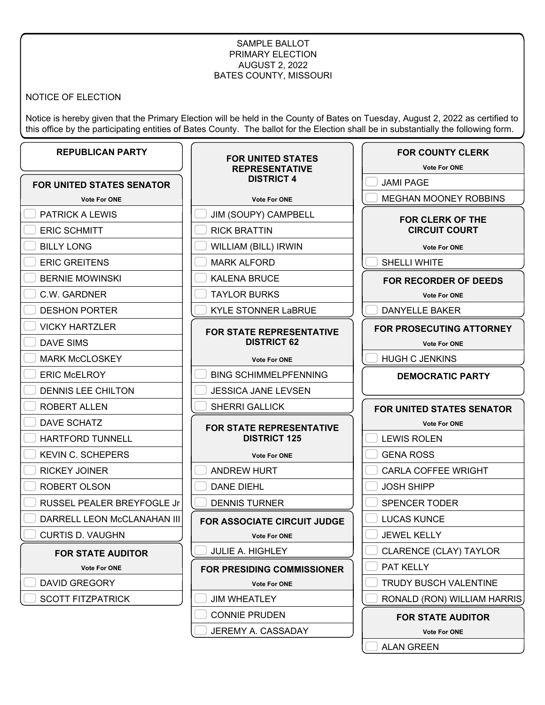### SAMPLE BALLOT PRIMARY ELECTION AUGUST 2, 2022 BATES COUNTY, MISSOURI

NOTICE OF ELECTION

Notice is hereby given that the Primary Election will be held in the County of Bates on Tuesday, August 2, 2022 as certified to this office by the participating entities of Bates County. The ballot for the Election shall be in substantially the following form.

**FOR UNITED STATES**

# **REPUBLICAN PARTY**

|                             | <b>REPRESENTATIVE</b>                                  | <b>Vote For ONE</b>      |
|-----------------------------|--------------------------------------------------------|--------------------------|
| FOR UNITED STATES SENATOR   | <b>DISTRICT 4</b>                                      | <b>JAMI PAGE</b>         |
| <b>Vote For ONE</b>         | <b>Vote For ONE</b>                                    | <b>MEGHAN MOONEY</b>     |
| <b>PATRICK A LEWIS</b>      | JIM (SOUPY) CAMPBELL                                   | <b>FOR CLERK OF</b>      |
| <b>ERIC SCHMITT</b>         | <b>RICK BRATTIN</b>                                    | <b>CIRCUIT COU</b>       |
| <b>BILLY LONG</b>           | WILLIAM (BILL) IRWIN                                   | <b>Vote For ONE</b>      |
| <b>ERIC GREITENS</b>        | <b>MARK ALFORD</b>                                     | SHELLI WHITE             |
| <b>BERNIE MOWINSKI</b>      | <b>KALENA BRUCE</b>                                    | <b>FOR RECORDER O</b>    |
| C.W. GARDNER                | <b>TAYLOR BURKS</b>                                    | <b>Vote For ONE</b>      |
| <b>DESHON PORTER</b>        | <b>KYLE STONNER LaBRUE</b>                             | <b>DANYELLE BAKER</b>    |
| <b>VICKY HARTZLER</b>       | <b>FOR STATE REPRESENTATIVE</b><br><b>DISTRICT 62</b>  | <b>FOR PROSECUTING</b>   |
| <b>DAVE SIMS</b>            |                                                        | <b>Vote For ONE</b>      |
| <b>MARK McCLOSKEY</b>       | <b>Vote For ONE</b>                                    | <b>HUGH C JENKINS</b>    |
| <b>ERIC McELROY</b>         | <b>BING SCHIMMELPFENNING</b>                           | <b>DEMOCRATIC P</b>      |
| DENNIS LEE CHILTON          | <b>JESSICA JANE LEVSEN</b>                             |                          |
| ROBERT ALLEN                | <b>SHERRI GALLICK</b>                                  | <b>FOR UNITED STATES</b> |
| <b>DAVE SCHATZ</b>          | <b>FOR STATE REPRESENTATIVE</b><br><b>DISTRICT 125</b> | <b>Vote For ONE</b>      |
| <b>HARTFORD TUNNELL</b>     |                                                        | <b>LEWIS ROLEN</b>       |
| <b>KEVIN C. SCHEPERS</b>    | <b>Vote For ONE</b>                                    | <b>GENA ROSS</b>         |
| <b>RICKEY JOINER</b>        | ANDREW HURT                                            | <b>CARLA COFFEE WF</b>   |
| ROBERT OLSON                | <b>DANE DIEHL</b>                                      | <b>JOSH SHIPP</b>        |
| RUSSEL PEALER BREYFOGLE Jr  | <b>DENNIS TURNER</b>                                   | SPENCER TODER            |
| DARRELL LEON McCLANAHAN III | FOR ASSOCIATE CIRCUIT JUDGE                            | <b>LUCAS KUNCE</b>       |
| <b>CURTIS D. VAUGHN</b>     | <b>Vote For ONE</b>                                    | <b>JEWEL KELLY</b>       |
| <b>FOR STATE AUDITOR</b>    | <b>JULIE A. HIGHLEY</b>                                | CLARENCE (CLAY)          |
| <b>Vote For ONE</b>         | <b>FOR PRESIDING COMMISSIONER</b>                      | PAT KELLY                |
| <b>DAVID GREGORY</b>        | <b>Vote For ONE</b>                                    | <b>TRUDY BUSCH VAL</b>   |
| <b>SCOTT FITZPATRICK</b>    | <b>JIM WHEATLEY</b>                                    | RONALD (RON) WIL         |
|                             | <b>CONNIE PRUDEN</b>                                   | <b>FOR STATE AUI</b>     |
|                             | JEREMY A. CASSADAY                                     | <b>Vote For ONE</b>      |

**OONEY ROBBINS ERK OF THE JIT COURT Propriet For ONE** TE **FOR RECORDER OF DEEDS P** For ONE **BAKER UTING ATTORNEY P** For ONE **JKINS DEMOCRATIC PARTY STATES SENATOR P** For ONE  $E$ N GENA ROSS FEE WRIGHT JOSH SHIPP ODER CE  $\mathsf{Y}$ (CLAY) TAYLOR CH VALENTINE **DN) WILLIAM HARRIS** 

**FOR COUNTY CLERK**

**TE AUDITOR** 

**P** For ONE

ALAN GREEN